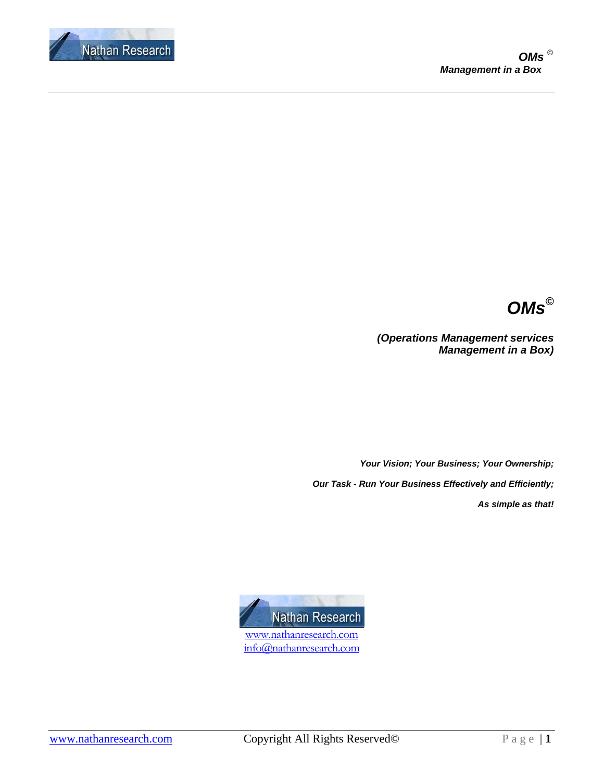



*(Operations Management services Management in a Box)* 

*Your Vision; Your Business; Your Ownership; Our Task - Run Your Business Effectively and Efficiently;* 

*As simple as that!* 

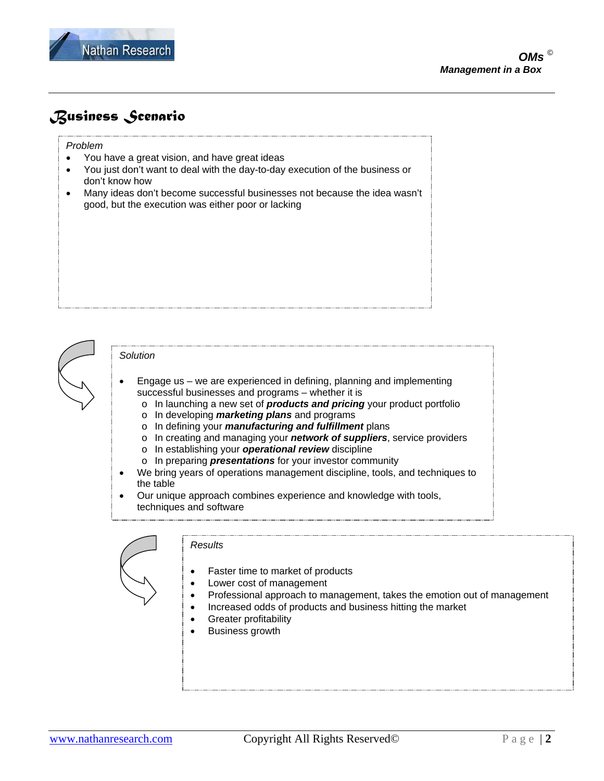

# *Business Scenario*

### *Problem*

- You have a great vision, and have great ideas
- You just don't want to deal with the day-to-day execution of the business or don't know how
- Many ideas don't become successful businesses not because the idea wasn't good, but the execution was either poor or lacking



### *Solution*

- Engage us we are experienced in defining, planning and implementing successful businesses and programs – whether it is
	- o In launching a new set of *products and pricing* your product portfolio
	- o In developing *marketing plans* and programs
	- o In defining your *manufacturing and fulfillment* plans
	- o In creating and managing your *network of suppliers*, service providers
	- o In establishing your *operational review* discipline
	- o In preparing *presentations* for your investor community
- We bring years of operations management discipline, tools, and techniques to the table
- Our unique approach combines experience and knowledge with tools, techniques and software



#### *Results*

- Faster time to market of products
- Lower cost of management
- Professional approach to management, takes the emotion out of management
- Increased odds of products and business hitting the market
- **Greater profitability**
- Business growth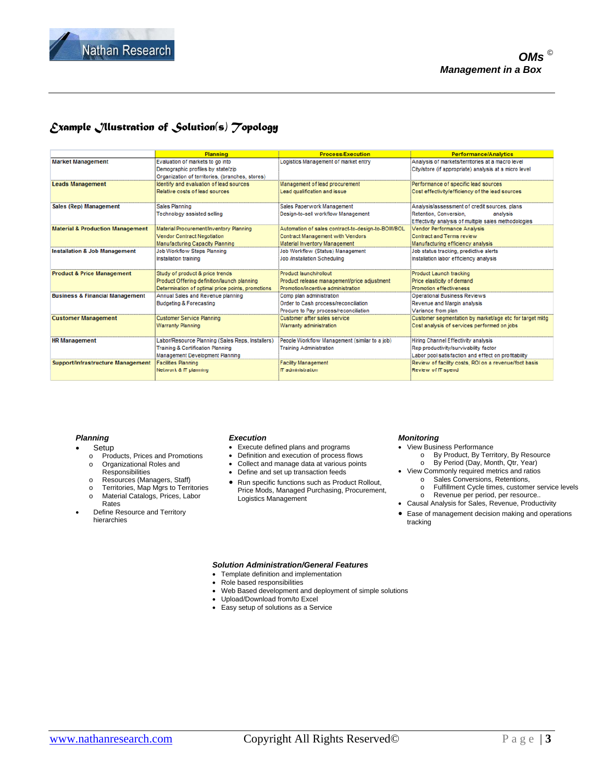

### *Example Illustration of Solution(s) Topology*

|                                             | <b>Planning</b>                                   | <b>Process/Execution</b>                          | <b>Performance/Analytics</b>                            |
|---------------------------------------------|---------------------------------------------------|---------------------------------------------------|---------------------------------------------------------|
| <b>Market Management</b>                    | Evaluation of markets to go into                  | Logistics Management of market entry              | Analysis of markets/territories at a macro level        |
|                                             | Demographic profiles by state/zip                 |                                                   | City/store (if appropriate) analysis at a micro level   |
|                                             | Organization of territories, (branches, stores)   |                                                   |                                                         |
| <b>Leads Management</b>                     | Identify and evaluation of lead sources           | Management of lead procurement                    | Performance of specific lead sources                    |
|                                             | Relative costs of lead sources                    | Lead qualification and issue                      | Cost effectivity/efficiency of the lead sources         |
| Sales (Rep) Management                      | <b>Sales Planning</b>                             | Sales Paperwork Management                        | Analysis/assessment of credit sources, plans            |
|                                             | Technology assisted selling                       | Design-to-sell workflow Management                | Retention, Conversion,<br>analysis                      |
|                                             |                                                   |                                                   | Effectivity analysis of multiple sales methodologies    |
| <b>Material &amp; Production Management</b> | Material Procurement/Inventory Planning           | Automation of sales contract-to-design-to-BOM/BOL | <b>Vendor Performance Analysis</b>                      |
|                                             | <b>Vendor Contract Negotiation</b>                | Contract Management with Vendors                  | <b>Contract and Terms review</b>                        |
|                                             | <b>Manufacturing Capacity Planning</b>            | Material Inventory Management                     | Manufacturing efficiency analysis                       |
| <b>Installation &amp; Job Management</b>    | Job Workflow Steps Planning                       | Job Workflow (Status) Management                  | Job status tracking, predictive alerts                  |
|                                             | Installation training                             | <b>Job /Installation Scheduling</b>               | Installation labor efficiency analysis                  |
| <b>Product &amp; Price Management</b>       | Study of product & price trends                   | Product launch/rollout                            | Product Launch tracking                                 |
|                                             | Product Offering definition/launch planning       | Product release management/price adjustment       | Price elasticity of demand                              |
|                                             | Determination of optimal price points, promotions | Promotion/incentive administration                | Promotion effectiveness                                 |
| <b>Business &amp; Financial Management</b>  | Annual Sales and Revenue planning                 | Comp plan administration                          | <b>Operational Business Reviews</b>                     |
|                                             | <b>Budgeting &amp; Forecasting</b>                | Order to Cash process/reconciliation              | Revenue and Margin analysis                             |
|                                             |                                                   | Procure to Pay process/reconciliation             | Variance from plan                                      |
| <b>Customer Management</b>                  | <b>Customer Service Planning</b>                  | Customer after sales service                      | Customer segmentation by market/age etc for target mktg |
|                                             | <b>Warranty Planning</b>                          | Warranty administration                           | Cost analysis of services performed on jobs             |
| <b>HR Management</b>                        | Labor/Resource Planning (Sales Reps, Installers)  | People Workflow Management (similar to a job)     | Hiring Channel Effectivity analysis                     |
|                                             | <b>Training &amp; Certification Planning</b>      | <b>Training Administration</b>                    | Rep productivity/survivability factor                   |
|                                             | Management Development Planning                   |                                                   | Labor pool satisfaction and effect on profitability     |
| <b>Support/Infrastructure Management</b>    | <b>Facilities Planning</b>                        | <b>Facility Management</b>                        | Review of facility costs. ROI on a revenue/foot basis   |
|                                             | Network & IT planning                             | IT administration                                 | Review of IT spend                                      |
|                                             |                                                   |                                                   |                                                         |

### *Planning*

- **Setup**
- o Products, Prices and Promotions
- o Organizational Roles and
- Responsibilities o Resources (Managers, Staff)
- o Territories, Map Mgrs to Territories
- o Material Catalogs, Prices, Labor Rates
- Define Resource and Territory hierarchies

#### *Execution*

- Execute defined plans and programs
- Definition and execution of process flows
- Collect and manage data at various points
- Define and set up transaction feeds
- Run specific functions such as Product Rollout, Price Mods, Managed Purchasing, Procurement, Logistics Management

#### *Monitoring*

- View Business Performance o By Product, By Territory, By Resource
	- o By Period (Day, Month, Qtr, Year)
- View Commonly required metrics and ratios o Sales Conversions, Retentions,
	- o Fulfillment Cycle times, customer service levels
- o Revenue per period, per resource.. • Causal Analysis for Sales, Revenue, Productivity
- 
- Ease of management decision making and operations tracking

#### *Solution Administration/General Features*

- Template definition and implementation
- Role based responsibilities
- Web Based development and deployment of simple solutions
- Upload/Download from/to Excel
- Easy setup of solutions as a Service